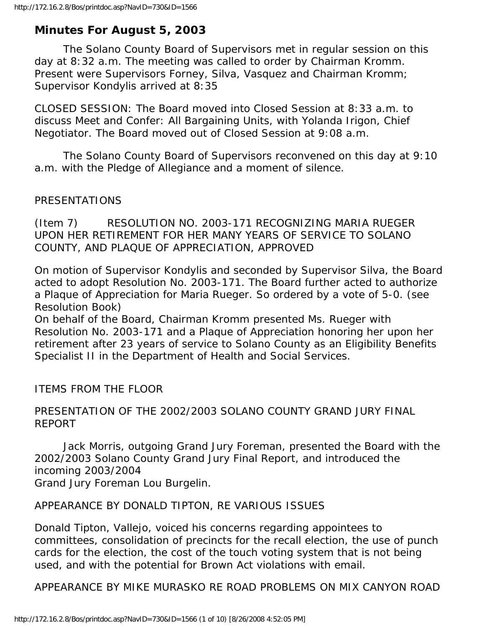# **Minutes For August 5, 2003**

 The Solano County Board of Supervisors met in regular session on this day at 8:32 a.m. The meeting was called to order by Chairman Kromm. Present were Supervisors Forney, Silva, Vasquez and Chairman Kromm; Supervisor Kondylis arrived at 8:35

CLOSED SESSION: The Board moved into Closed Session at 8:33 a.m. to discuss Meet and Confer: All Bargaining Units, with Yolanda Irigon, Chief Negotiator. The Board moved out of Closed Session at 9:08 a.m.

 The Solano County Board of Supervisors reconvened on this day at 9:10 a.m. with the Pledge of Allegiance and a moment of silence.

#### PRESENTATIONS

(Item 7) RESOLUTION NO. 2003-171 RECOGNIZING MARIA RUEGER UPON HER RETIREMENT FOR HER MANY YEARS OF SERVICE TO SOLANO COUNTY, AND PLAQUE OF APPRECIATION, APPROVED

On motion of Supervisor Kondylis and seconded by Supervisor Silva, the Board acted to adopt Resolution No. 2003-171. The Board further acted to authorize a Plaque of Appreciation for Maria Rueger. So ordered by a vote of 5-0. (see Resolution Book)

On behalf of the Board, Chairman Kromm presented Ms. Rueger with Resolution No. 2003-171 and a Plaque of Appreciation honoring her upon her retirement after 23 years of service to Solano County as an Eligibility Benefits Specialist II in the Department of Health and Social Services.

ITEMS FROM THE FLOOR

## PRESENTATION OF THE 2002/2003 SOLANO COUNTY GRAND JURY FINAL REPORT

 Jack Morris, outgoing Grand Jury Foreman, presented the Board with the 2002/2003 Solano County Grand Jury Final Report, and introduced the incoming 2003/2004 Grand Jury Foreman Lou Burgelin.

## APPEARANCE BY DONALD TIPTON, RE VARIOUS ISSUES

Donald Tipton, Vallejo, voiced his concerns regarding appointees to committees, consolidation of precincts for the recall election, the use of punch cards for the election, the cost of the touch voting system that is not being used, and with the potential for Brown Act violations with email.

APPEARANCE BY MIKE MURASKO RE ROAD PROBLEMS ON MIX CANYON ROAD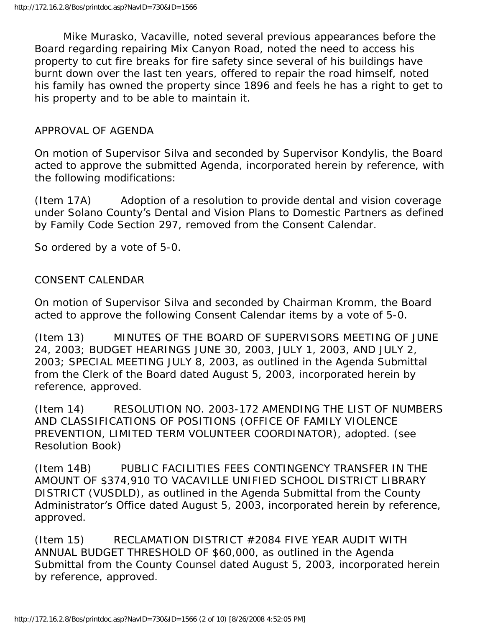Mike Murasko, Vacaville, noted several previous appearances before the Board regarding repairing Mix Canyon Road, noted the need to access his property to cut fire breaks for fire safety since several of his buildings have burnt down over the last ten years, offered to repair the road himself, noted his family has owned the property since 1896 and feels he has a right to get to his property and to be able to maintain it.

#### APPROVAL OF AGENDA

On motion of Supervisor Silva and seconded by Supervisor Kondylis, the Board acted to approve the submitted Agenda, incorporated herein by reference, with the following modifications:

(Item 17A) Adoption of a resolution to provide dental and vision coverage under Solano County's Dental and Vision Plans to Domestic Partners as defined by Family Code Section 297, removed from the Consent Calendar.

So ordered by a vote of 5-0.

#### CONSENT CALENDAR

On motion of Supervisor Silva and seconded by Chairman Kromm, the Board acted to approve the following Consent Calendar items by a vote of 5-0.

(Item 13) MINUTES OF THE BOARD OF SUPERVISORS MEETING OF JUNE 24, 2003; BUDGET HEARINGS JUNE 30, 2003, JULY 1, 2003, AND JULY 2, 2003; SPECIAL MEETING JULY 8, 2003, as outlined in the Agenda Submittal from the Clerk of the Board dated August 5, 2003, incorporated herein by reference, approved.

(Item 14) RESOLUTION NO. 2003-172 AMENDING THE LIST OF NUMBERS AND CLASSIFICATIONS OF POSITIONS (OFFICE OF FAMILY VIOLENCE PREVENTION, LIMITED TERM VOLUNTEER COORDINATOR), adopted. (see Resolution Book)

(Item 14B) PUBLIC FACILITIES FEES CONTINGENCY TRANSFER IN THE AMOUNT OF \$374,910 TO VACAVILLE UNIFIED SCHOOL DISTRICT LIBRARY DISTRICT (VUSDLD), as outlined in the Agenda Submittal from the County Administrator's Office dated August 5, 2003, incorporated herein by reference, approved.

(Item 15) RECLAMATION DISTRICT #2084 FIVE YEAR AUDIT WITH ANNUAL BUDGET THRESHOLD OF \$60,000, as outlined in the Agenda Submittal from the County Counsel dated August 5, 2003, incorporated herein by reference, approved.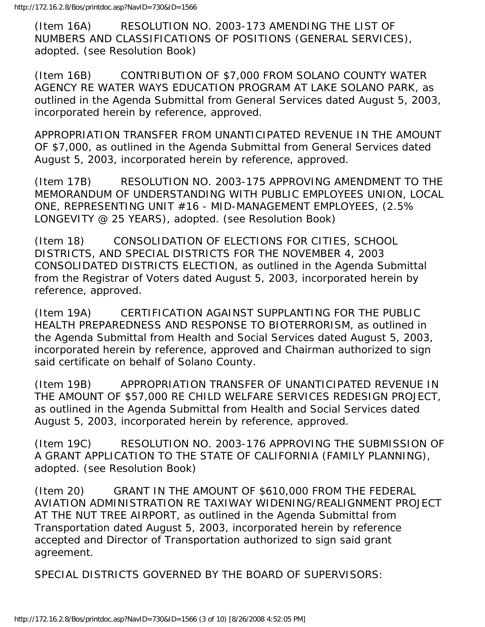(Item 16A) RESOLUTION NO. 2003-173 AMENDING THE LIST OF NUMBERS AND CLASSIFICATIONS OF POSITIONS (GENERAL SERVICES), adopted. (see Resolution Book)

(Item 16B) CONTRIBUTION OF \$7,000 FROM SOLANO COUNTY WATER AGENCY RE WATER WAYS EDUCATION PROGRAM AT LAKE SOLANO PARK, as outlined in the Agenda Submittal from General Services dated August 5, 2003, incorporated herein by reference, approved.

APPROPRIATION TRANSFER FROM UNANTICIPATED REVENUE IN THE AMOUNT OF \$7,000, as outlined in the Agenda Submittal from General Services dated August 5, 2003, incorporated herein by reference, approved.

(Item 17B) RESOLUTION NO. 2003-175 APPROVING AMENDMENT TO THE MEMORANDUM OF UNDERSTANDING WITH PUBLIC EMPLOYEES UNION, LOCAL ONE, REPRESENTING UNIT #16 - MID-MANAGEMENT EMPLOYEES, (2.5% LONGEVITY @ 25 YEARS), adopted. (see Resolution Book)

(Item 18) CONSOLIDATION OF ELECTIONS FOR CITIES, SCHOOL DISTRICTS, AND SPECIAL DISTRICTS FOR THE NOVEMBER 4, 2003 CONSOLIDATED DISTRICTS ELECTION, as outlined in the Agenda Submittal from the Registrar of Voters dated August 5, 2003, incorporated herein by reference, approved.

(Item 19A) CERTIFICATION AGAINST SUPPLANTING FOR THE PUBLIC HEALTH PREPAREDNESS AND RESPONSE TO BIOTERRORISM, as outlined in the Agenda Submittal from Health and Social Services dated August 5, 2003, incorporated herein by reference, approved and Chairman authorized to sign said certificate on behalf of Solano County.

(Item 19B) APPROPRIATION TRANSFER OF UNANTICIPATED REVENUE IN THE AMOUNT OF \$57,000 RE CHILD WELFARE SERVICES REDESIGN PROJECT, as outlined in the Agenda Submittal from Health and Social Services dated August 5, 2003, incorporated herein by reference, approved.

(Item 19C) RESOLUTION NO. 2003-176 APPROVING THE SUBMISSION OF A GRANT APPLICATION TO THE STATE OF CALIFORNIA (FAMILY PLANNING), adopted. (see Resolution Book)

(Item 20) GRANT IN THE AMOUNT OF \$610,000 FROM THE FEDERAL AVIATION ADMINISTRATION RE TAXIWAY WIDENING/REALIGNMENT PROJECT AT THE NUT TREE AIRPORT, as outlined in the Agenda Submittal from Transportation dated August 5, 2003, incorporated herein by reference accepted and Director of Transportation authorized to sign said grant agreement.

SPECIAL DISTRICTS GOVERNED BY THE BOARD OF SUPERVISORS: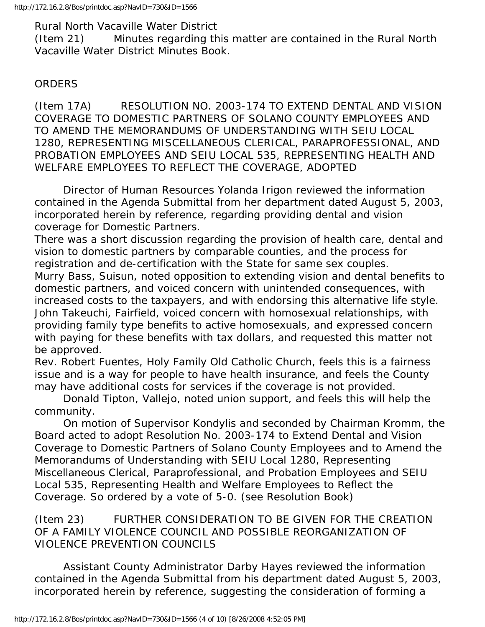Rural North Vacaville Water District

(Item 21) Minutes regarding this matter are contained in the Rural North Vacaville Water District Minutes Book.

## ORDERS

(Item 17A) RESOLUTION NO. 2003-174 TO EXTEND DENTAL AND VISION COVERAGE TO DOMESTIC PARTNERS OF SOLANO COUNTY EMPLOYEES AND TO AMEND THE MEMORANDUMS OF UNDERSTANDING WITH SEIU LOCAL 1280, REPRESENTING MISCELLANEOUS CLERICAL, PARAPROFESSIONAL, AND PROBATION EMPLOYEES AND SEIU LOCAL 535, REPRESENTING HEALTH AND WELFARE EMPLOYEES TO REFLECT THE COVERAGE, ADOPTED

 Director of Human Resources Yolanda Irigon reviewed the information contained in the Agenda Submittal from her department dated August 5, 2003, incorporated herein by reference, regarding providing dental and vision coverage for Domestic Partners.

There was a short discussion regarding the provision of health care, dental and vision to domestic partners by comparable counties, and the process for registration and de-certification with the State for same sex couples. Murry Bass, Suisun, noted opposition to extending vision and dental benefits to domestic partners, and voiced concern with unintended consequences, with increased costs to the taxpayers, and with endorsing this alternative life style. John Takeuchi, Fairfield, voiced concern with homosexual relationships, with providing family type benefits to active homosexuals, and expressed concern with paying for these benefits with tax dollars, and requested this matter not be approved.

Rev. Robert Fuentes, Holy Family Old Catholic Church, feels this is a fairness issue and is a way for people to have health insurance, and feels the County may have additional costs for services if the coverage is not provided.

 Donald Tipton, Vallejo, noted union support, and feels this will help the community.

 On motion of Supervisor Kondylis and seconded by Chairman Kromm, the Board acted to adopt Resolution No. 2003-174 to Extend Dental and Vision Coverage to Domestic Partners of Solano County Employees and to Amend the Memorandums of Understanding with SEIU Local 1280, Representing Miscellaneous Clerical, Paraprofessional, and Probation Employees and SEIU Local 535, Representing Health and Welfare Employees to Reflect the Coverage. So ordered by a vote of 5-0. (see Resolution Book)

(Item 23) FURTHER CONSIDERATION TO BE GIVEN FOR THE CREATION OF A FAMILY VIOLENCE COUNCIL AND POSSIBLE REORGANIZATION OF VIOLENCE PREVENTION COUNCILS

 Assistant County Administrator Darby Hayes reviewed the information contained in the Agenda Submittal from his department dated August 5, 2003, incorporated herein by reference, suggesting the consideration of forming a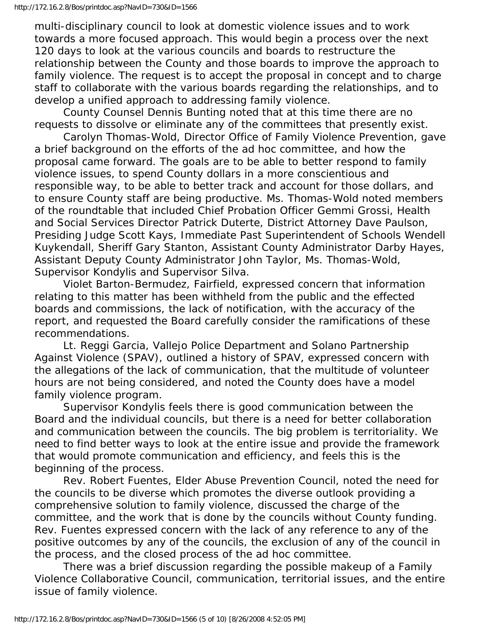multi-disciplinary council to look at domestic violence issues and to work towards a more focused approach. This would begin a process over the next 120 days to look at the various councils and boards to restructure the relationship between the County and those boards to improve the approach to family violence. The request is to accept the proposal in concept and to charge staff to collaborate with the various boards regarding the relationships, and to develop a unified approach to addressing family violence.

 County Counsel Dennis Bunting noted that at this time there are no requests to dissolve or eliminate any of the committees that presently exist.

 Carolyn Thomas-Wold, Director Office of Family Violence Prevention, gave a brief background on the efforts of the ad hoc committee, and how the proposal came forward. The goals are to be able to better respond to family violence issues, to spend County dollars in a more conscientious and responsible way, to be able to better track and account for those dollars, and to ensure County staff are being productive. Ms. Thomas-Wold noted members of the roundtable that included Chief Probation Officer Gemmi Grossi, Health and Social Services Director Patrick Duterte, District Attorney Dave Paulson, Presiding Judge Scott Kays, Immediate Past Superintendent of Schools Wendell Kuykendall, Sheriff Gary Stanton, Assistant County Administrator Darby Hayes, Assistant Deputy County Administrator John Taylor, Ms. Thomas-Wold, Supervisor Kondylis and Supervisor Silva.

 Violet Barton-Bermudez, Fairfield, expressed concern that information relating to this matter has been withheld from the public and the effected boards and commissions, the lack of notification, with the accuracy of the report, and requested the Board carefully consider the ramifications of these recommendations.

 Lt. Reggi Garcia, Vallejo Police Department and Solano Partnership Against Violence (SPAV), outlined a history of SPAV, expressed concern with the allegations of the lack of communication, that the multitude of volunteer hours are not being considered, and noted the County does have a model family violence program.

 Supervisor Kondylis feels there is good communication between the Board and the individual councils, but there is a need for better collaboration and communication between the councils. The big problem is territoriality. We need to find better ways to look at the entire issue and provide the framework that would promote communication and efficiency, and feels this is the beginning of the process.

 Rev. Robert Fuentes, Elder Abuse Prevention Council, noted the need for the councils to be diverse which promotes the diverse outlook providing a comprehensive solution to family violence, discussed the charge of the committee, and the work that is done by the councils without County funding. Rev. Fuentes expressed concern with the lack of any reference to any of the positive outcomes by any of the councils, the exclusion of any of the council in the process, and the closed process of the ad hoc committee.

 There was a brief discussion regarding the possible makeup of a Family Violence Collaborative Council, communication, territorial issues, and the entire issue of family violence.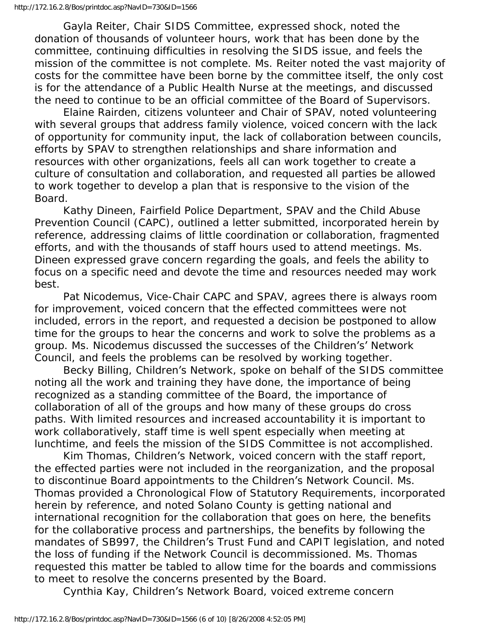Gayla Reiter, Chair SIDS Committee, expressed shock, noted the donation of thousands of volunteer hours, work that has been done by the committee, continuing difficulties in resolving the SIDS issue, and feels the mission of the committee is not complete. Ms. Reiter noted the vast majority of costs for the committee have been borne by the committee itself, the only cost is for the attendance of a Public Health Nurse at the meetings, and discussed the need to continue to be an official committee of the Board of Supervisors.

 Elaine Rairden, citizens volunteer and Chair of SPAV, noted volunteering with several groups that address family violence, voiced concern with the lack of opportunity for community input, the lack of collaboration between councils, efforts by SPAV to strengthen relationships and share information and resources with other organizations, feels all can work together to create a culture of consultation and collaboration, and requested all parties be allowed to work together to develop a plan that is responsive to the vision of the Board.

 Kathy Dineen, Fairfield Police Department, SPAV and the Child Abuse Prevention Council (CAPC), outlined a letter submitted, incorporated herein by reference, addressing claims of little coordination or collaboration, fragmented efforts, and with the thousands of staff hours used to attend meetings. Ms. Dineen expressed grave concern regarding the goals, and feels the ability to focus on a specific need and devote the time and resources needed may work best.

 Pat Nicodemus, Vice-Chair CAPC and SPAV, agrees there is always room for improvement, voiced concern that the effected committees were not included, errors in the report, and requested a decision be postponed to allow time for the groups to hear the concerns and work to solve the problems as a group. Ms. Nicodemus discussed the successes of the Children's' Network Council, and feels the problems can be resolved by working together.

 Becky Billing, Children's Network, spoke on behalf of the SIDS committee noting all the work and training they have done, the importance of being recognized as a standing committee of the Board, the importance of collaboration of all of the groups and how many of these groups do cross paths. With limited resources and increased accountability it is important to work collaboratively, staff time is well spent especially when meeting at lunchtime, and feels the mission of the SIDS Committee is not accomplished.

 Kim Thomas, Children's Network, voiced concern with the staff report, the effected parties were not included in the reorganization, and the proposal to discontinue Board appointments to the Children's Network Council. Ms. Thomas provided a Chronological Flow of Statutory Requirements, incorporated herein by reference, and noted Solano County is getting national and international recognition for the collaboration that goes on here, the benefits for the collaborative process and partnerships, the benefits by following the mandates of SB997, the Children's Trust Fund and CAPIT legislation, and noted the loss of funding if the Network Council is decommissioned. Ms. Thomas requested this matter be tabled to allow time for the boards and commissions to meet to resolve the concerns presented by the Board.

Cynthia Kay, Children's Network Board, voiced extreme concern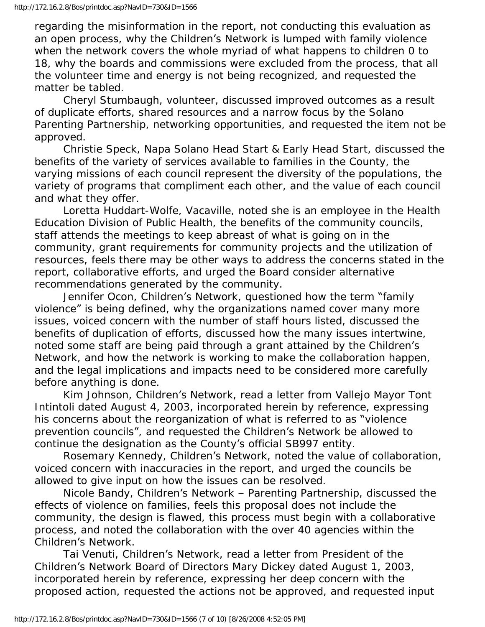regarding the misinformation in the report, not conducting this evaluation as an open process, why the Children's Network is lumped with family violence when the network covers the whole myriad of what happens to children 0 to 18, why the boards and commissions were excluded from the process, that all the volunteer time and energy is not being recognized, and requested the matter be tabled.

 Cheryl Stumbaugh, volunteer, discussed improved outcomes as a result of duplicate efforts, shared resources and a narrow focus by the Solano Parenting Partnership, networking opportunities, and requested the item not be approved.

 Christie Speck, Napa Solano Head Start & Early Head Start, discussed the benefits of the variety of services available to families in the County, the varying missions of each council represent the diversity of the populations, the variety of programs that compliment each other, and the value of each council and what they offer.

 Loretta Huddart-Wolfe, Vacaville, noted she is an employee in the Health Education Division of Public Health, the benefits of the community councils, staff attends the meetings to keep abreast of what is going on in the community, grant requirements for community projects and the utilization of resources, feels there may be other ways to address the concerns stated in the report, collaborative efforts, and urged the Board consider alternative recommendations generated by the community.

 Jennifer Ocon, Children's Network, questioned how the term "family violence" is being defined, why the organizations named cover many more issues, voiced concern with the number of staff hours listed, discussed the benefits of duplication of efforts, discussed how the many issues intertwine, noted some staff are being paid through a grant attained by the Children's Network, and how the network is working to make the collaboration happen, and the legal implications and impacts need to be considered more carefully before anything is done.

 Kim Johnson, Children's Network, read a letter from Vallejo Mayor Tont Intintoli dated August 4, 2003, incorporated herein by reference, expressing his concerns about the reorganization of what is referred to as "violence prevention councils", and requested the Children's Network be allowed to continue the designation as the County's official SB997 entity.

 Rosemary Kennedy, Children's Network, noted the value of collaboration, voiced concern with inaccuracies in the report, and urged the councils be allowed to give input on how the issues can be resolved.

 Nicole Bandy, Children's Network – Parenting Partnership, discussed the effects of violence on families, feels this proposal does not include the community, the design is flawed, this process must begin with a collaborative process, and noted the collaboration with the over 40 agencies within the Children's Network.

 Tai Venuti, Children's Network, read a letter from President of the Children's Network Board of Directors Mary Dickey dated August 1, 2003, incorporated herein by reference, expressing her deep concern with the proposed action, requested the actions not be approved, and requested input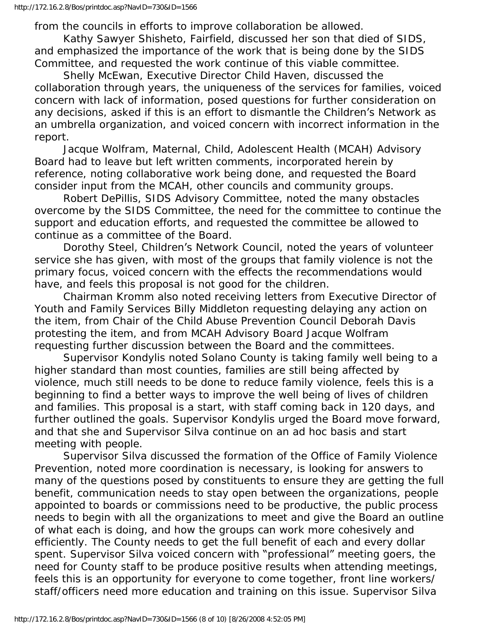from the councils in efforts to improve collaboration be allowed.

 Kathy Sawyer Shisheto, Fairfield, discussed her son that died of SIDS, and emphasized the importance of the work that is being done by the SIDS Committee, and requested the work continue of this viable committee.

 Shelly McEwan, Executive Director Child Haven, discussed the collaboration through years, the uniqueness of the services for families, voiced concern with lack of information, posed questions for further consideration on any decisions, asked if this is an effort to dismantle the Children's Network as an umbrella organization, and voiced concern with incorrect information in the report.

 Jacque Wolfram, Maternal, Child, Adolescent Health (MCAH) Advisory Board had to leave but left written comments, incorporated herein by reference, noting collaborative work being done, and requested the Board consider input from the MCAH, other councils and community groups.

 Robert DePillis, SIDS Advisory Committee, noted the many obstacles overcome by the SIDS Committee, the need for the committee to continue the support and education efforts, and requested the committee be allowed to continue as a committee of the Board.

 Dorothy Steel, Children's Network Council, noted the years of volunteer service she has given, with most of the groups that family violence is not the primary focus, voiced concern with the effects the recommendations would have, and feels this proposal is not good for the children.

 Chairman Kromm also noted receiving letters from Executive Director of Youth and Family Services Billy Middleton requesting delaying any action on the item, from Chair of the Child Abuse Prevention Council Deborah Davis protesting the item, and from MCAH Advisory Board Jacque Wolfram requesting further discussion between the Board and the committees.

 Supervisor Kondylis noted Solano County is taking family well being to a higher standard than most counties, families are still being affected by violence, much still needs to be done to reduce family violence, feels this is a beginning to find a better ways to improve the well being of lives of children and families. This proposal is a start, with staff coming back in 120 days, and further outlined the goals. Supervisor Kondylis urged the Board move forward, and that she and Supervisor Silva continue on an ad hoc basis and start meeting with people.

 Supervisor Silva discussed the formation of the Office of Family Violence Prevention, noted more coordination is necessary, is looking for answers to many of the questions posed by constituents to ensure they are getting the full benefit, communication needs to stay open between the organizations, people appointed to boards or commissions need to be productive, the public process needs to begin with all the organizations to meet and give the Board an outline of what each is doing, and how the groups can work more cohesively and efficiently. The County needs to get the full benefit of each and every dollar spent. Supervisor Silva voiced concern with "professional" meeting goers, the need for County staff to be produce positive results when attending meetings, feels this is an opportunity for everyone to come together, front line workers/ staff/officers need more education and training on this issue. Supervisor Silva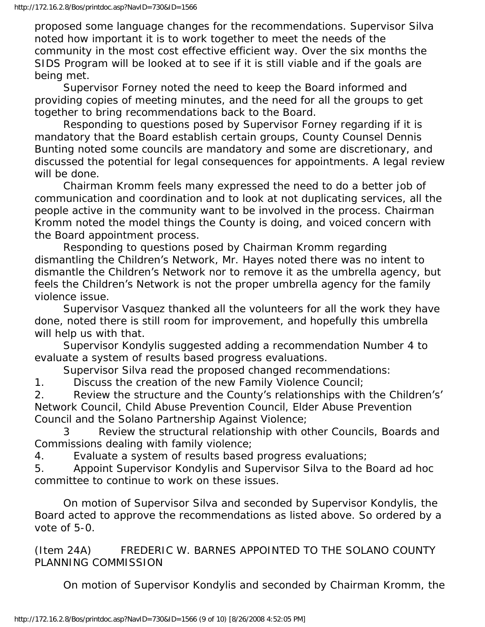proposed some language changes for the recommendations. Supervisor Silva noted how important it is to work together to meet the needs of the community in the most cost effective efficient way. Over the six months the SIDS Program will be looked at to see if it is still viable and if the goals are being met.

 Supervisor Forney noted the need to keep the Board informed and providing copies of meeting minutes, and the need for all the groups to get together to bring recommendations back to the Board.

 Responding to questions posed by Supervisor Forney regarding if it is mandatory that the Board establish certain groups, County Counsel Dennis Bunting noted some councils are mandatory and some are discretionary, and discussed the potential for legal consequences for appointments. A legal review will be done.

 Chairman Kromm feels many expressed the need to do a better job of communication and coordination and to look at not duplicating services, all the people active in the community want to be involved in the process. Chairman Kromm noted the model things the County is doing, and voiced concern with the Board appointment process.

 Responding to questions posed by Chairman Kromm regarding dismantling the Children's Network, Mr. Hayes noted there was no intent to dismantle the Children's Network nor to remove it as the umbrella agency, but feels the Children's Network is not the proper umbrella agency for the family violence issue.

 Supervisor Vasquez thanked all the volunteers for all the work they have done, noted there is still room for improvement, and hopefully this umbrella will help us with that.

 Supervisor Kondylis suggested adding a recommendation Number 4 to evaluate a system of results based progress evaluations.

Supervisor Silva read the proposed changed recommendations:

1. Discuss the creation of the new Family Violence Council;

2. Review the structure and the County's relationships with the Children's' Network Council, Child Abuse Prevention Council, Elder Abuse Prevention Council and the Solano Partnership Against Violence;

 3 Review the structural relationship with other Councils, Boards and Commissions dealing with family violence;

4. Evaluate a system of results based progress evaluations;

5. Appoint Supervisor Kondylis and Supervisor Silva to the Board ad hoc committee to continue to work on these issues.

 On motion of Supervisor Silva and seconded by Supervisor Kondylis, the Board acted to approve the recommendations as listed above. So ordered by a vote of 5-0.

(Item 24A) FREDERIC W. BARNES APPOINTED TO THE SOLANO COUNTY PLANNING COMMISSION

On motion of Supervisor Kondylis and seconded by Chairman Kromm, the